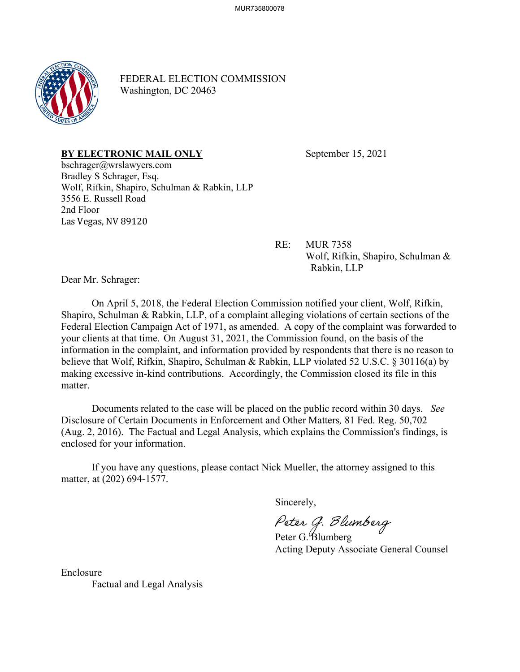

FEDERAL ELECTION COMMISSION Washington, DC 20463

## **BY ELECTRONIC MAIL ONLY** September 15, 2021

bschrager@wrslawyers.com Bradley S Schrager, Esq. Wolf, Rifkin, Shapiro, Schulman & Rabkin, LLP 3556 E. Russell Road 2nd Floor Las Vegas, NV 89120

> RE: MUR 7358 Wolf, Rifkin, Shapiro, Schulman & Rabkin, LLP

Dear Mr. Schrager:

On April 5, 2018, the Federal Election Commission notified your client, Wolf, Rifkin, Shapiro, Schulman & Rabkin, LLP, of a complaint alleging violations of certain sections of the Federal Election Campaign Act of 1971, as amended. A copy of the complaint was forwarded to your clients at that time. On August 31, 2021, the Commission found, on the basis of the information in the complaint, and information provided by respondents that there is no reason to believe that Wolf, Rifkin, Shapiro, Schulman & Rabkin, LLP violated 52 U.S.C. § 30116(a) by making excessive in-kind contributions. Accordingly, the Commission closed its file in this matter.

Documents related to the case will be placed on the public record within 30 days. *See* Disclosure of Certain Documents in Enforcement and Other Matters*,* 81 Fed. Reg. 50,702 (Aug. 2, 2016). The Factual and Legal Analysis, which explains the Commission's findings, is enclosed for your information.

If you have any questions, please contact Nick Mueller, the attorney assigned to this matter, at (202) 694-1577.

Sincerely,

Peter G. Blumberg<br>Peter G. Blumberg

Acting Deputy Associate General Counsel

Enclosure Factual and Legal Analysis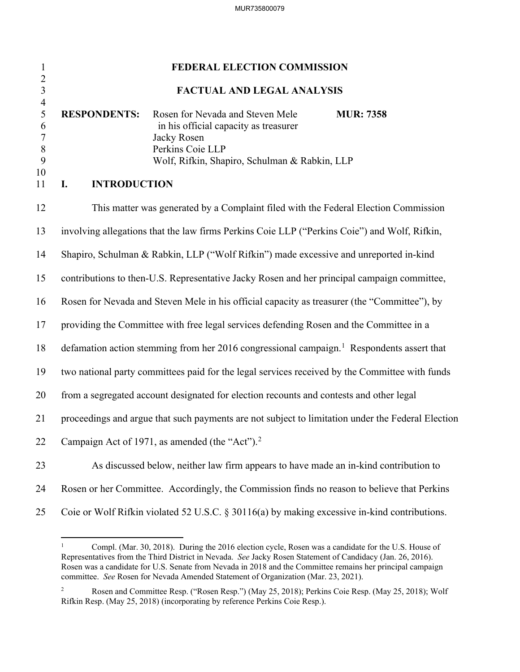| $\mathbf{1}$                                                          | FEDERAL ELECTION COMMISSION                                                                                                                                                                                                           |  |
|-----------------------------------------------------------------------|---------------------------------------------------------------------------------------------------------------------------------------------------------------------------------------------------------------------------------------|--|
| $\frac{2}{3}$                                                         | FACTUAL AND LEGAL ANALYSIS                                                                                                                                                                                                            |  |
| $\overline{4}$<br>5<br>6<br>$\overline{7}$<br>$\, 8$<br>9<br>10<br>11 | <b>RESPONDENTS:</b><br>Rosen for Nevada and Steven Mele<br><b>MUR: 7358</b><br>in his official capacity as treasurer<br>Jacky Rosen<br>Perkins Coie LLP<br>Wolf, Rifkin, Shapiro, Schulman & Rabkin, LLP<br><b>INTRODUCTION</b><br>I. |  |
|                                                                       |                                                                                                                                                                                                                                       |  |
| 12                                                                    | This matter was generated by a Complaint filed with the Federal Election Commission                                                                                                                                                   |  |
| 13                                                                    | involving allegations that the law firms Perkins Coie LLP ("Perkins Coie") and Wolf, Rifkin,                                                                                                                                          |  |
| 14                                                                    | Shapiro, Schulman & Rabkin, LLP ("Wolf Rifkin") made excessive and unreported in-kind                                                                                                                                                 |  |
| 15                                                                    | contributions to then-U.S. Representative Jacky Rosen and her principal campaign committee,                                                                                                                                           |  |
| 16                                                                    | Rosen for Nevada and Steven Mele in his official capacity as treasurer (the "Committee"), by                                                                                                                                          |  |
| 17                                                                    | providing the Committee with free legal services defending Rosen and the Committee in a                                                                                                                                               |  |
| 18                                                                    | defamation action stemming from her 2016 congressional campaign. <sup>1</sup> Respondents assert that                                                                                                                                 |  |
| 19                                                                    | two national party committees paid for the legal services received by the Committee with funds                                                                                                                                        |  |
| 20                                                                    | from a segregated account designated for election recounts and contests and other legal                                                                                                                                               |  |
| 21                                                                    | proceedings and argue that such payments are not subject to limitation under the Federal Election                                                                                                                                     |  |
| 22                                                                    | Campaign Act of 1971, as amended (the "Act"). $2$                                                                                                                                                                                     |  |
| 23                                                                    | As discussed below, neither law firm appears to have made an in-kind contribution to                                                                                                                                                  |  |
| 24                                                                    | Rosen or her Committee. Accordingly, the Commission finds no reason to believe that Perkins                                                                                                                                           |  |
| 25                                                                    | Coie or Wolf Rifkin violated 52 U.S.C. § 30116(a) by making excessive in-kind contributions.                                                                                                                                          |  |

<span id="page-1-0"></span><sup>1</sup> Compl. (Mar. 30, 2018). During the 2016 election cycle, Rosen was a candidate for the U.S. House of Representatives from the Third District in Nevada. *See* Jacky Rosen Statement of Candidacy (Jan. 26, 2016). Rosen was a candidate for U.S. Senate from Nevada in 2018 and the Committee remains her principal campaign committee. *See* Rosen for Nevada Amended Statement of Organization (Mar. 23, 2021).

<span id="page-1-1"></span><sup>2</sup> Rosen and Committee Resp. ("Rosen Resp.") (May 25, 2018); Perkins Coie Resp. (May 25, 2018); Wolf Rifkin Resp. (May 25, 2018) (incorporating by reference Perkins Coie Resp.).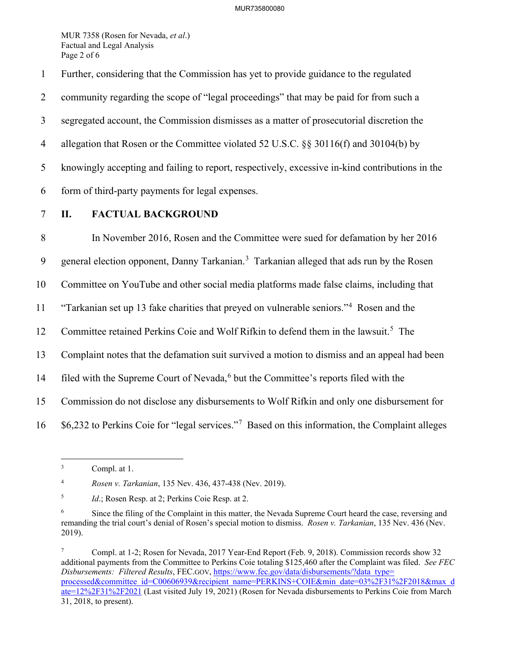MUR 7358 (Rosen for Nevada, *et al*.) Factual and Legal Analysis Page 2 of 6

1 Further, considering that the Commission has yet to provide guidance to the regulated 2 community regarding the scope of "legal proceedings" that may be paid for from such a

3 segregated account, the Commission dismisses as a matter of prosecutorial discretion the

4 allegation that Rosen or the Committee violated 52 U.S.C. §§ 30116(f) and 30104(b) by

5 knowingly accepting and failing to report, respectively, excessive in-kind contributions in the

- 6 form of third-party payments for legal expenses.
- 

## 7 **II. FACTUAL BACKGROUND**

8 In November 2016, Rosen and the Committee were sued for defamation by her 2016 9 general election opponent, Danny Tarkanian.<sup>[3](#page-2-0)</sup> Tarkanian alleged that ads run by the Rosen 10 Committee on YouTube and other social media platforms made false claims, including that <sup>11</sup> "Tarkanian set up 13 fake charities that preyed on vulnerable seniors."<sup>4</sup> Rosen and the 12 Committee retained Perkins Coie and Wolf Rifkin to defend them in the lawsuit.<sup>[5](#page-2-2)</sup> The 13 Complaint notes that the defamation suit survived a motion to dismiss and an appeal had been 14 filed with the Supreme Court of Nevada,<sup>[6](#page-2-3)</sup> but the Committee's reports filed with the 15 Commission do not disclose any disbursements to Wolf Rifkin and only one disbursement for  $16$  \$6,232 to Perkins Coie for "legal services."<sup>[7](#page-2-4)</sup> Based on this information, the Complaint alleges

<span id="page-2-1"></span>4 *Rosen v. Tarkanian*, 135 Nev. 436, 437-438 (Nev. 2019).

<span id="page-2-0"></span><sup>3</sup> Compl. at 1.

<span id="page-2-2"></span><sup>5</sup> *Id.*; Rosen Resp. at 2; Perkins Coie Resp. at 2.

<span id="page-2-3"></span><sup>6</sup> Since the filing of the Complaint in this matter, the Nevada Supreme Court heard the case, reversing and remanding the trial court's denial of Rosen's special motion to dismiss. *Rosen v. Tarkanian*, 135 Nev. 436 (Nev. 2019).

<span id="page-2-4"></span><sup>7</sup> Compl. at 1-2; Rosen for Nevada, 2017 Year-End Report (Feb. 9, 2018). Commission records show 32 additional payments from the Committee to Perkins Coie totaling \$125,460 after the Complaint was filed. *See FEC Disbursements: Filtered Results*, FEC.GOV[, https://www.fec.gov/data/disbursements/?data\\_type=](https://www.fec.gov/data/disbursements/?data_type=%E2%80%8Cprocessed&committee_id=C00606939&recipient_name=PERKINS+COIE&min_date=03%2F31%2F2018&max_date=12%2F31%2F2021) [processed&committee\\_id=C00606939&recipient\\_name=PERKINS+COIE&min\\_date=03%2F31%2F2018&max\\_d](https://www.fec.gov/data/disbursements/?data_type=%E2%80%8Cprocessed&committee_id=C00606939&recipient_name=PERKINS+COIE&min_date=03%2F31%2F2018&max_date=12%2F31%2F2021) [ate=12%2F31%2F2021](https://www.fec.gov/data/disbursements/?data_type=%E2%80%8Cprocessed&committee_id=C00606939&recipient_name=PERKINS+COIE&min_date=03%2F31%2F2018&max_date=12%2F31%2F2021) (Last visited July 19, 2021) (Rosen for Nevada disbursements to Perkins Coie from March 31, 2018, to present).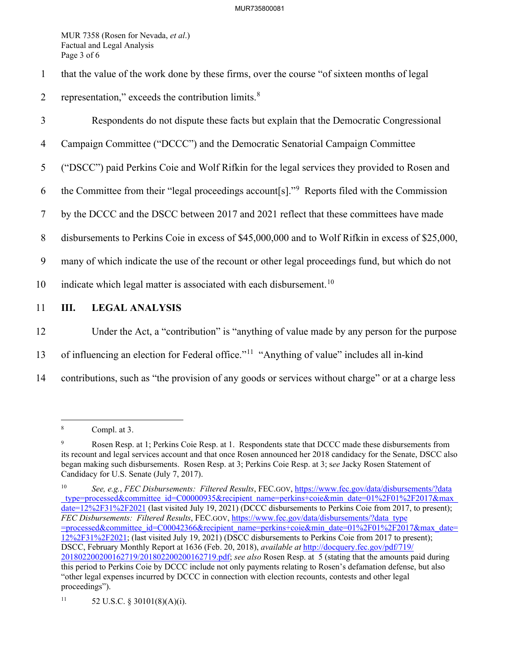MUR 7358 (Rosen for Nevada, *et al*.) Factual and Legal Analysis Page 3 of 6

- 1 that the value of the work done by these firms, over the course "of sixteen months of legal
- 2 representation," exceeds the contribution limits. $8 \times 10^{-10}$  $8 \times 10^{-10}$
- 3 Respondents do not dispute these facts but explain that the Democratic Congressional
- 4 Campaign Committee ("DCCC") and the Democratic Senatorial Campaign Committee
- 5 ("DSCC") paid Perkins Coie and Wolf Rifkin for the legal services they provided to Rosen and
- 6 the Committee from their "legal proceedings account  $[s]$ ." Reports filed with the Commission
- 7 by the DCCC and the DSCC between 2017 and 2021 reflect that these committees have made
- 8 disbursements to Perkins Coie in excess of \$45,000,000 and to Wolf Rifkin in excess of \$25,000,
- 9 many of which indicate the use of the recount or other legal proceedings fund, but which do not
- [10](#page-3-2) indicate which legal matter is associated with each disbursement.<sup>10</sup>
- 11 **III. LEGAL ANALYSIS**
- 12 Under the Act, a "contribution" is "anything of value made by any person for the purpose
- 13 of influencing an election for Federal office."<sup>[11](#page-3-3)</sup> "Anything of value" includes all in-kind
- 14 contributions, such as "the provision of any goods or services without charge" or at a charge less

<span id="page-3-0"></span><sup>8</sup> Compl. at 3.

<span id="page-3-1"></span><sup>9</sup> Rosen Resp. at 1; Perkins Coie Resp. at 1. Respondents state that DCCC made these disbursements from its recount and legal services account and that once Rosen announced her 2018 candidacy for the Senate, DSCC also began making such disbursements. Rosen Resp. at 3; Perkins Coie Resp. at 3; s*ee* Jacky Rosen Statement of Candidacy for U.S. Senate (July 7, 2017).

<span id="page-3-2"></span><sup>10</sup> *See, e.g.*, *FEC Disbursements: Filtered Results*, FEC.GOV, https://www.fec.gov/data/disbursements/?data \_type=processed&committee\_id=C00000935&recipient\_name=perkins+coie&min\_date=01%2F01%2F2017&max\_ date=12%2F31%2F2021 (last visited July 19, 2021) (DCCC disbursements to Perkins Coie from 2017, to present); *FEC Disbursements: Filtered Results*, FEC.GOV, https://www.fec.gov/data/disbursements/?data\_type =processed&committee\_id=C00042366&recipient\_name=perkins+coie&min\_date=01%2F01%2F2017&max\_date= 12%2F31%2F2021; (last visited July 19, 2021) (DSCC disbursements to Perkins Coie from 2017 to present); DSCC, February Monthly Report at 1636 (Feb. 20, 2018), *available at* [http://docquery.fec.gov/pdf/719/](http://docquery.fec.gov/pdf/719/201802200200162719%E2%80%8C/201802200200162719.pdf) [201802200200162719/201802200200162719.pdf;](http://docquery.fec.gov/pdf/719/201802200200162719%E2%80%8C/201802200200162719.pdf) *see also* Rosen Resp. at 5 (stating that the amounts paid during this period to Perkins Coie by DCCC include not only payments relating to Rosen's defamation defense, but also "other legal expenses incurred by DCCC in connection with election recounts, contests and other legal proceedings").

<span id="page-3-3"></span><sup>11 52</sup> U.S.C. § 30101(8)(A)(i).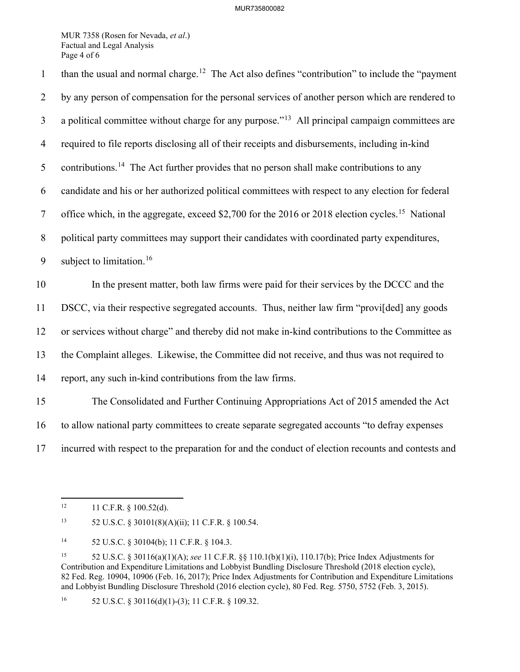MUR 7358 (Rosen for Nevada, *et al*.) Factual and Legal Analysis Page 4 of 6

than the usual and normal charge.<sup>[12](#page-4-0)</sup> The Act also defines "contribution" to include the "payment" 2 by any person of compensation for the personal services of another person which are rendered to  $\alpha$  a political committee without charge for any purpose.<sup> $13$ </sup> All principal campaign committees are 4 required to file reports disclosing all of their receipts and disbursements, including in-kind 5 contributions.<sup>[14](#page-4-2)</sup> The Act further provides that no person shall make contributions to any 6 candidate and his or her authorized political committees with respect to any election for federal 7 office which, in the aggregate, exceed \$2,700 for the 2016 or 2018 election cycles.<sup>[15](#page-4-3)</sup> National 8 political party committees may support their candidates with coordinated party expenditures, 9 subject to limitation.<sup>[16](#page-4-4)</sup> 10 In the present matter, both law firms were paid for their services by the DCCC and the 11 DSCC, via their respective segregated accounts. Thus, neither law firm "provi[ded] any goods 12 or services without charge" and thereby did not make in-kind contributions to the Committee as 13 the Complaint alleges. Likewise, the Committee did not receive, and thus was not required to 14 report, any such in-kind contributions from the law firms. 15 The Consolidated and Further Continuing Appropriations Act of 2015 amended the Act 16 to allow national party committees to create separate segregated accounts "to defray expenses 17 incurred with respect to the preparation for and the conduct of election recounts and contests and

<span id="page-4-0"></span> $12$  11 C.F.R. § 100.52(d).

<span id="page-4-1"></span><sup>13 52</sup> U.S.C. § 30101(8)(A)(ii); 11 C.F.R. § 100.54.

<span id="page-4-2"></span><sup>14 52</sup> U.S.C. § 30104(b); 11 C.F.R. § 104.3.

<span id="page-4-3"></span><sup>15 52</sup> U.S.C. § 30116(a)(1)(A); *see* 11 C.F.R. §§ 110.1(b)(1)(i), 110.17(b); Price Index Adjustments for Contribution and Expenditure Limitations and Lobbyist Bundling Disclosure Threshold (2018 election cycle), 82 Fed. Reg. 10904, 10906 (Feb. 16, 2017); Price Index Adjustments for Contribution and Expenditure Limitations and Lobbyist Bundling Disclosure Threshold (2016 election cycle), 80 Fed. Reg. 5750, 5752 (Feb. 3, 2015).

<span id="page-4-4"></span><sup>&</sup>lt;sup>16</sup> 52 U.S.C. § 30116(d)(1)-(3); 11 C.F.R. § 109.32.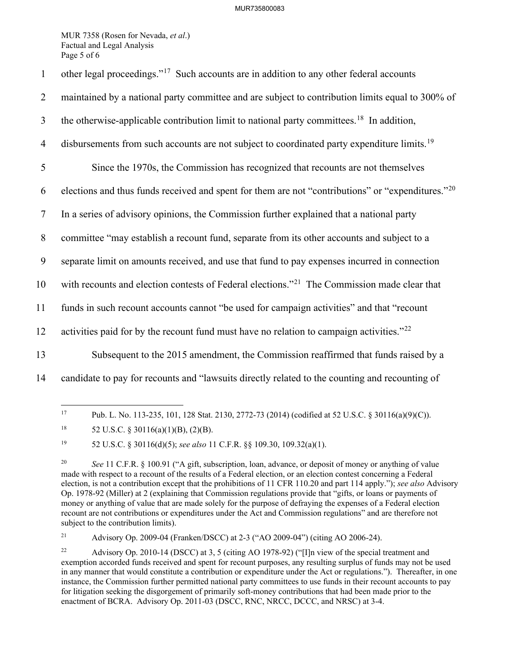## MUR735800083

MUR 7358 (Rosen for Nevada, *et al*.) Factual and Legal Analysis Page 5 of 6

| $\mathbf{1}$   | other legal proceedings." <sup>17</sup> Such accounts are in addition to any other federal accounts           |
|----------------|---------------------------------------------------------------------------------------------------------------|
| $\overline{2}$ | maintained by a national party committee and are subject to contribution limits equal to 300% of              |
| $\mathfrak{Z}$ | the otherwise-applicable contribution limit to national party committees. <sup>18</sup> In addition,          |
| $\overline{4}$ | disbursements from such accounts are not subject to coordinated party expenditure limits. <sup>19</sup>       |
| 5              | Since the 1970s, the Commission has recognized that recounts are not themselves                               |
| 6              | elections and thus funds received and spent for them are not "contributions" or "expenditures." <sup>20</sup> |
| $\tau$         | In a series of advisory opinions, the Commission further explained that a national party                      |
| $\, 8$         | committee "may establish a recount fund, separate from its other accounts and subject to a                    |
| 9              | separate limit on amounts received, and use that fund to pay expenses incurred in connection                  |
| 10             | with recounts and election contests of Federal elections." <sup>21</sup> The Commission made clear that       |
| 11             | funds in such recount accounts cannot "be used for campaign activities" and that "recount                     |
| 12             | activities paid for by the recount fund must have no relation to campaign activities." $^{22}$                |
| 13             | Subsequent to the 2015 amendment, the Commission reaffirmed that funds raised by a                            |
| 14             | candidate to pay for recounts and "lawsuits directly related to the counting and recounting of                |
|                |                                                                                                               |

<span id="page-5-0"></span><sup>17</sup> Pub. L. No. 113-235, 101, 128 Stat. 2130, 2772-73 (2014) (codified at 52 U.S.C. § 30116(a)(9)(C)).

<span id="page-5-2"></span>19 52 U.S.C. § 30116(d)(5); *see also* 11 C.F.R. §§ 109.30, 109.32(a)(1).

<span id="page-5-4"></span>21 Advisory Op. 2009-04 (Franken/DSCC) at 2-3 ("AO 2009-04") (citing AO 2006-24).

<span id="page-5-1"></span><sup>&</sup>lt;sup>18</sup> 52 U.S.C. § 30116(a)(1)(B), (2)(B).

<span id="page-5-3"></span><sup>&</sup>lt;sup>20</sup> *See* 11 C.F.R. § 100.91 ("A gift, subscription, loan, advance, or deposit of money or anything of value made with respect to a recount of the results of a Federal election, or an election contest concerning a Federal election, is not a contribution except that the prohibitions of 11 CFR 110.20 and part 114 apply."); *see also* Advisory Op. 1978-92 (Miller) at 2 (explaining that Commission regulations provide that "gifts, or loans or payments of money or anything of value that are made solely for the purpose of defraying the expenses of a Federal election recount are not contributions or expenditures under the Act and Commission regulations" and are therefore not subject to the contribution limits).

<span id="page-5-5"></span><sup>22</sup> Advisory Op. 2010-14 (DSCC) at 3, 5 (citing AO 1978-92) ("[I]n view of the special treatment and exemption accorded funds received and spent for recount purposes, any resulting surplus of funds may not be used in any manner that would constitute a contribution or expenditure under the Act or regulations."). Thereafter, in one instance, the Commission further permitted national party committees to use funds in their recount accounts to pay for litigation seeking the disgorgement of primarily soft-money contributions that had been made prior to the enactment of BCRA. Advisory Op. 2011-03 (DSCC, RNC, NRCC, DCCC, and NRSC) at 3-4.